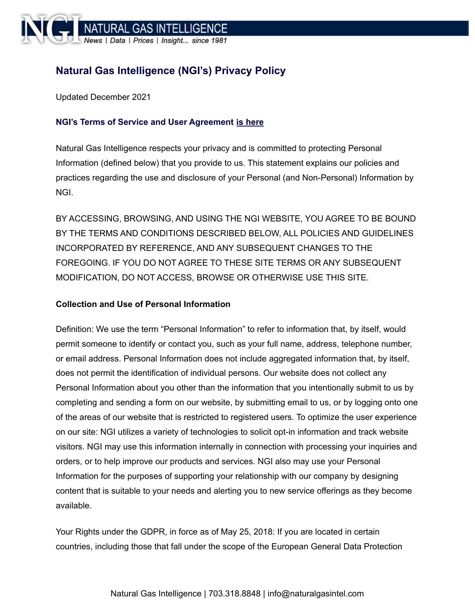

# **Natural Gas Intelligence (NGI's) Privacy Policy**

Updated December 2021

# **NGI's Terms of Service and User [Agreement](https://www.naturalgasintel.com/terms-of-service/) is here**

Natural Gas Intelligence respects your privacy and is committed to protecting Personal Information (defined below) that you provide to us. This statement explains our policies and practices regarding the use and disclosure of your Personal (and Non-Personal) Information by NGI.

BY ACCESSING, BROWSING, AND USING THE NGI WEBSITE, YOU AGREE TO BE BOUND BY THE TERMS AND CONDITIONS DESCRIBED BELOW, ALL POLICIES AND GUIDELINES INCORPORATED BY REFERENCE, AND ANY SUBSEQUENT CHANGES TO THE FOREGOING. IF YOU DO NOT AGREE TO THESE SITE TERMS OR ANY SUBSEQUENT MODIFICATION, DO NOT ACCESS, BROWSE OR OTHERWISE USE THIS SITE.

#### **Collection and Use of Personal Information**

Definition: We use the term "Personal Information" to refer to information that, by itself, would permit someone to identify or contact you, such as your full name, address, telephone number, or email address. Personal Information does not include aggregated information that, by itself, does not permit the identification of individual persons. Our website does not collect any Personal Information about you other than the information that you intentionally submit to us by completing and sending a form on our website, by submitting email to us, or by logging onto one of the areas of our website that is restricted to registered users. To optimize the user experience on our site: NGI utilizes a variety of technologies to solicit opt-in information and track website visitors. NGI may use this information internally in connection with processing your inquiries and orders, or to help improve our products and services. NGI also may use your Personal Information for the purposes of supporting your relationship with our company by designing content that is suitable to your needs and alerting you to new service offerings as they become available.

Your Rights under the GDPR, in force as of May 25, 2018: If you are located in certain countries, including those that fall under the scope of the European General Data Protection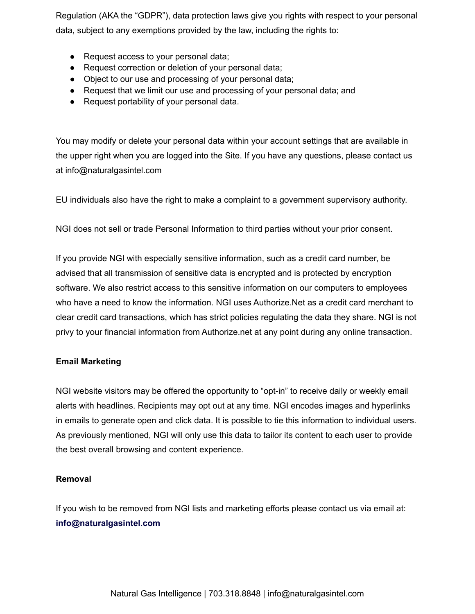Regulation (AKA the "GDPR"), data protection laws give you rights with respect to your personal data, subject to any exemptions provided by the law, including the rights to:

- Request access to your personal data;
- Request correction or deletion of your personal data;
- Object to our use and processing of your personal data;
- Request that we limit our use and processing of your personal data; and
- Request portability of your personal data.

You may modify or delete your personal data within your account settings that are available in the upper right when you are logged into the Site. If you have any questions, please contact us at info@naturalgasintel.com

EU individuals also have the right to make a complaint to a government supervisory authority.

NGI does not sell or trade Personal Information to third parties without your prior consent.

If you provide NGI with especially sensitive information, such as a credit card number, be advised that all transmission of sensitive data is encrypted and is protected by encryption software. We also restrict access to this sensitive information on our computers to employees who have a need to know the information. NGI uses Authorize.Net as a credit card merchant to clear credit card transactions, which has strict policies regulating the data they share. NGI is not privy to your financial information from Authorize.net at any point during any online transaction.

## **Email Marketing**

NGI website visitors may be offered the opportunity to "opt-in" to receive daily or weekly email alerts with headlines. Recipients may opt out at any time. NGI encodes images and hyperlinks in emails to generate open and click data. It is possible to tie this information to individual users. As previously mentioned, NGI will only use this data to tailor its content to each user to provide the best overall browsing and content experience.

## **Removal**

If you wish to be removed from NGI lists and marketing efforts please contact us via email at: **info@naturalgasintel.com**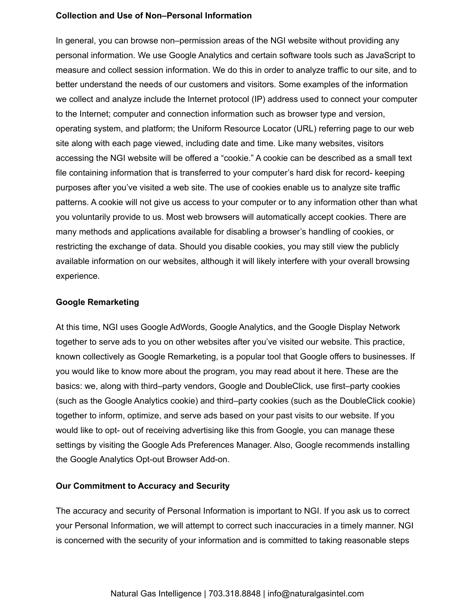#### **Collection and Use of Non–Personal Information**

In general, you can browse non–permission areas of the NGI website without providing any personal information. We use Google Analytics and certain software tools such as JavaScript to measure and collect session information. We do this in order to analyze traffic to our site, and to better understand the needs of our customers and visitors. Some examples of the information we collect and analyze include the Internet protocol (IP) address used to connect your computer to the Internet; computer and connection information such as browser type and version, operating system, and platform; the Uniform Resource Locator (URL) referring page to our web site along with each page viewed, including date and time. Like many websites, visitors accessing the NGI website will be offered a "cookie." A cookie can be described as a small text file containing information that is transferred to your computer's hard disk for record- keeping purposes after you've visited a web site. The use of cookies enable us to analyze site traffic patterns. A cookie will not give us access to your computer or to any information other than what you voluntarily provide to us. Most web browsers will automatically accept cookies. There are many methods and applications available for disabling a browser's handling of cookies, or restricting the exchange of data. Should you disable cookies, you may still view the publicly available information on our websites, although it will likely interfere with your overall browsing experience.

#### **Google Remarketing**

At this time, NGI uses Google AdWords, Google Analytics, and the Google Display Network together to serve ads to you on other websites after you've visited our website. This practice, known collectively as Google Remarketing, is a popular tool that Google offers to businesses. If you would like to know more about the program, you may read about it here. These are the basics: we, along with third–party vendors, Google and DoubleClick, use first–party cookies (such as the Google Analytics cookie) and third–party cookies (such as the DoubleClick cookie) together to inform, optimize, and serve ads based on your past visits to our website. If you would like to opt- out of receiving advertising like this from Google, you can manage these settings by visiting the Google Ads Preferences Manager. Also, Google recommends installing the Google Analytics Opt-out Browser Add-on.

## **Our Commitment to Accuracy and Security**

The accuracy and security of Personal Information is important to NGI. If you ask us to correct your Personal Information, we will attempt to correct such inaccuracies in a timely manner. NGI is concerned with the security of your information and is committed to taking reasonable steps